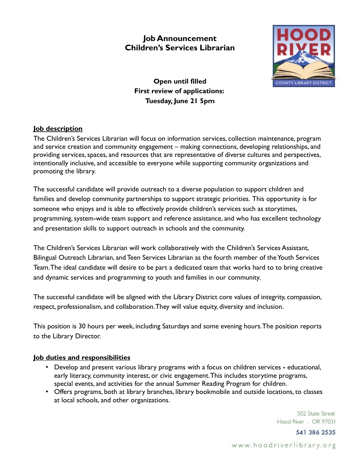# **Job Announcement Children's Services Librarian**



**Open until filled First review of applications: Tuesday, June 21 5pm**

## **Job description**

The Children's Services Librarian will focus on information services, collection maintenance, program and service creation and community engagement – making connections, developing relationships, and providing services, spaces, and resources that are representative of diverse cultures and perspectives, intentionally inclusive, and accessible to everyone while supporting community organizations and promoting the library.

The successful candidate will provide outreach to a diverse population to support children and families and develop community partnerships to support strategic priorities. This opportunity is for someone who enjoys and is able to effectively provide children's services such as storytimes, programming, system-wide team support and reference assistance, and who has excellent technology and presentation skills to support outreach in schools and the community.

The Children's Services Librarian will work collaboratively with the Children's Services Assistant, Bilingual Outreach Librarian, and Teen Services Librarian as the fourth member of the Youth Services Team. The ideal candidate will desire to be part a dedicated team that works hard to to bring creative and dynamic services and programming to youth and families in our community.

The successful candidate will be aligned with the Library District core values of integrity, compassion, respect, professionalism, and collaboration. They will value equity, diversity and inclusion.

This position is 30 hours per week, including Saturdays and some evening hours. The position reports to the Library Director.

## **Job duties and responsibilities**

- Develop and present various library programs with a focus on children services educational, early literacy, community interest, or civic engagement. This includes storytime programs, special events, and activities for the annual Summer Reading Program for children.
- Offers programs, both at library branches, library bookmobile and outside locations, to classes at local schools, and other organizations.

502 State Street Hood River - OR 97031

541 386 2535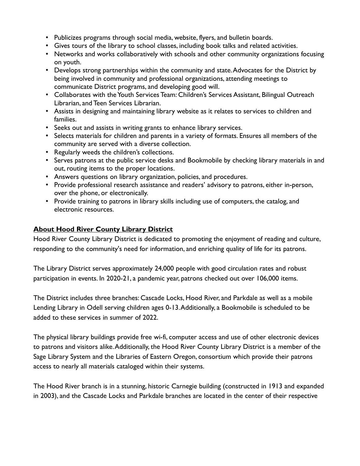- Publicizes programs through social media, website, flyers, and bulletin boards.
- Gives tours of the library to school classes, including book talks and related activities.
- Networks and works collaboratively with schools and other community organizations focusing on youth.
- Develops strong partnerships within the community and state. Advocates for the District by being involved in community and professional organizations, attending meetings to communicate District programs, and developing good will.
- Collaborates with the Youth Services Team: Children's Services Assistant, Bilingual Outreach Librarian, and Teen Services Librarian.
- Assists in designing and maintaining library website as it relates to services to children and families.
- Seeks out and assists in writing grants to enhance library services.
- Selects materials for children and parents in a variety of formats. Ensures all members of the community are served with a diverse collection.
- Regularly weeds the children's collections.
- Serves patrons at the public service desks and Bookmobile by checking library materials in and out, routing items to the proper locations.
- Answers questions on library organization, policies, and procedures.
- Provide professional research assistance and readers' advisory to patrons, either in-person, over the phone, or electronically.
- Provide training to patrons in library skills including use of computers, the catalog, and electronic resources.

# **About Hood River County Library District**

Hood River County Library District is dedicated to promoting the enjoyment of reading and culture, responding to the community's need for information, and enriching quality of life for its patrons.

The Library District serves approximately 24,000 people with good circulation rates and robust participation in events. In 2020-21, a pandemic year, patrons checked out over 106,000 items.

The District includes three branches: Cascade Locks, Hood River, and Parkdale as well as a mobile Lending Library in Odell serving children ages 0-13. Additionally, a Bookmobile is scheduled to be added to these services in summer of 2022.

The physical library buildings provide free wi-fi, computer access and use of other electronic devices to patrons and visitors alike. Additionally, the Hood River County Library District is a member of the Sage Library System and the Libraries of Eastern Oregon, consortium which provide their patrons access to nearly all materials cataloged within their systems.

The Hood River branch is in a stunning, historic Carnegie building (constructed in 1913 and expanded in 2003), and the Cascade Locks and Parkdale branches are located in the center of their respective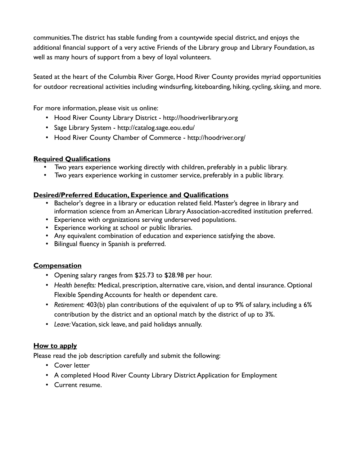communities. The district has stable funding from a countywide special district, and enjoys the additional financial support of a very active Friends of the Library group and Library Foundation, as well as many hours of support from a bevy of loyal volunteers.

Seated at the heart of the Columbia River Gorge, Hood River County provides myriad opportunities for outdoor recreational activities including windsurfing, kiteboarding, hiking, cycling, skiing, and more.

For more information, please visit us online:

- Hood River County Library District http://hoodriverlibrary.org
- Sage Library System http://catalog.sage.eou.edu/
- Hood River County Chamber of Commerce http://hoodriver.org/

# **Required Qualifications**

- Two years experience working directly with children, preferably in a public library.
- Two years experience working in customer service, preferably in a public library.

# **Desired/Preferred Education, Experience and Qualifications**

- Bachelor's degree in a library or education related field. Master's degree in library and information science from an American Library Association-accredited institution preferred.
- Experience with organizations serving underserved populations.
- Experience working at school or public libraries.
- Any equivalent combination of education and experience satisfying the above.
- Bilingual fluency in Spanish is preferred.

## **Compensation**

- Opening salary ranges from \$25.73 to \$28.98 per hour.
- *Health benefits:* Medical, prescription, alternative care, vision, and dental insurance. Optional Flexible Spending Accounts for health or dependent care.
- *Retirement:* 403(b) plan contributions of the equivalent of up to 9% of salary, including a 6% contribution by the district and an optional match by the district of up to 3%.
- *Leave:* Vacation, sick leave, and paid holidays annually.

## **How to apply**

Please read the job description carefully and submit the following:

- Cover letter
- A completed Hood River County Library District Application for Employment
- Current resume.